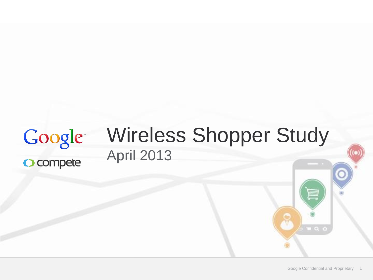## Google O compete

## Wireless Shopper Study April 2013

 $\mathbf{u}$  and  $\mathbf{d}$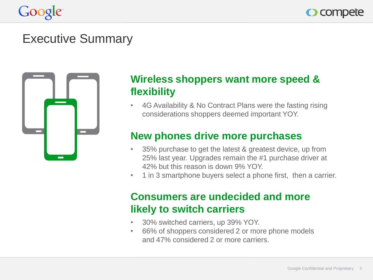



#### Executive Summary



#### **Wireless shoppers want more speed & flexibility**

• 4G Availability & No Contract Plans were the fasting rising considerations shoppers deemed important YOY.

#### **New phones drive more purchases**

- 35% purchase to get the latest & greatest device, up from 25% last year. Upgrades remain the #1 purchase driver at 42% but this reason is down 9% YOY.
- 1 in 3 smartphone buyers select a phone first, then a carrier.

#### **Consumers are undecided and more likely to switch carriers**

- 30% switched carriers, up 39% YOY.
- 66% of shoppers considered 2 or more phone models and 47% considered 2 or more carriers.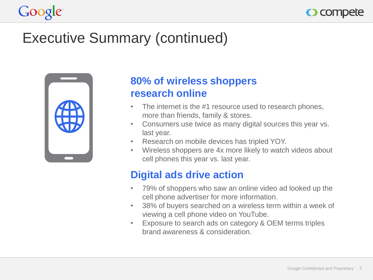

## Executive Summary (continued)



#### **80% of wireless shoppers research online**

- The internet is the #1 resource used to research phones, more than friends, family & stores.
- Consumers use twice as many digital sources this year vs. last year.
- Research on mobile devices has tripled YOY.
- Wireless shoppers are 4x more likely to watch videos about cell phones this year vs. last year.

#### **Digital ads drive action**

- 79% of shoppers who saw an online video ad looked up the cell phone advertiser for more information.
- 38% of buyers searched on a wireless term within a week of viewing a cell phone video on YouTube.
- Exposure to search ads on category & OEM terms triples brand awareness & consideration.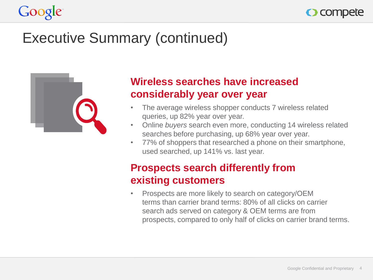

## Executive Summary (continued)



#### **Wireless searches have increased considerably year over year**

- The average wireless shopper conducts 7 wireless related queries, up 82% year over year.
- Online *buyers* search even more, conducting 14 wireless related searches before purchasing, up 68% year over year.
- 77% of shoppers that researched a phone on their smartphone, used searched, up 141% vs. last year.

#### **Prospects search differently from existing customers**

• Prospects are more likely to search on category/OEM terms than carrier brand terms: 80% of all clicks on carrier search ads served on category & OEM terms are from prospects, compared to only half of clicks on carrier brand terms.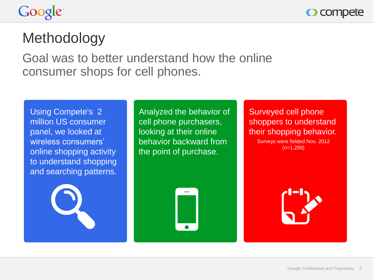O compete

## **Methodology**

Goal was to better understand how the online consumer shops for cell phones.

Using Compete's 2 million US consumer panel, we looked at wireless consumers' online shopping activity to understand shopping and searching patterns.



Analyzed the behavior of cell phone purchasers, looking at their online behavior backward from the point of purchase.



Surveyed cell phone shoppers to understand their shopping behavior. Surveys were fielded Nov. 2012 (n=1,289)

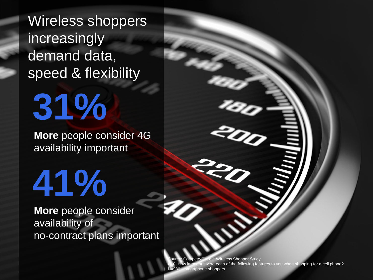Wireless shoppers increasingly demand data, speed & flexibility

**More** people consider 4G availability important

# **41%**

**31%**

**More** people consider availability of no-contract plans important

> Google Confidential and Proprietary 6 ireless Shopper Study re each of the following features to you when shopping for a cell phone? phone shoppers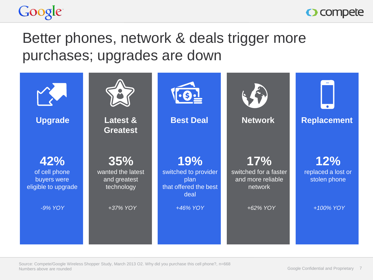



## Better phones, network & deals trigger more purchases; upgrades are down

| <b>Upgrade</b>                                             | <b>Latest &amp;</b><br><b>Greatest</b>                 | <b>Best Deal</b>                                                     | <b>Network</b>                                               | <b>Replacement</b>                        |
|------------------------------------------------------------|--------------------------------------------------------|----------------------------------------------------------------------|--------------------------------------------------------------|-------------------------------------------|
| 42%<br>of cell phone<br>buyers were<br>eligible to upgrade | 35%<br>wanted the latest<br>and greatest<br>technology | 19%<br>switched to provider<br>plan<br>that offered the best<br>deal | 17%<br>switched for a faster<br>and more reliable<br>network | 12%<br>replaced a lost or<br>stolen phone |
| -9% YOY                                                    | +37% YOY                                               | +46% YOY                                                             | +62% YOY                                                     | +100% YOY                                 |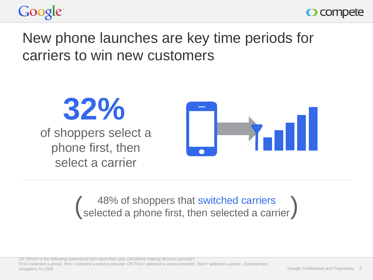



## New phone launches are key time periods for carriers to win new customers



# (48% of shoppers that switched carriers<br>
(selected a phone first, then selected a carrier)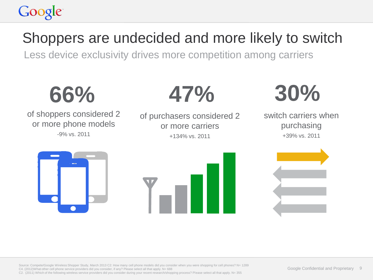## Google

## Shoppers are undecided and more likely to switch

Less device exclusivity drives more competition among carriers



Source: Compete/Google Wireless Shopper Study, March 2013 C2: How many cell phone models did you consider when you were shopping for cell phones? N= 1289 C4. (2012)What other cell phone service providers did you consider, if any? Please select all that apply. N= 688 C2. (2011) Which of the following wireless service providers did you consider during your recent research/shopping process? Please select all that apply. N= 355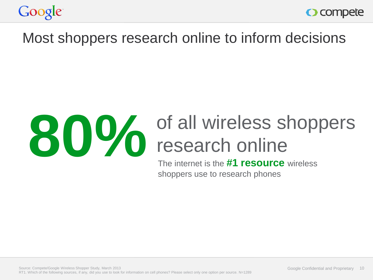



#### Most shoppers research online to inform decisions



# **800%** of all wireless shoppers

The internet is the **#1 resource** wireless shoppers use to research phones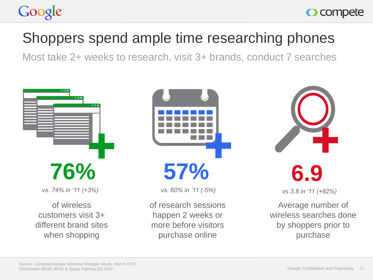## Shoppers spend ample time researching phones

Most take 2+ weeks to research, visit 3+ brands, conduct 7 searches



*vs. 74% in '11 (+3%)*

of wireless customers visit 3+ different brand sites when shopping



**57%**

*vs. 60% in '11 (-5%)*

of research sessions happen 2 weeks or more before visitors purchase online



*vs 3.8 in '11 (+82%)*

Average number of wireless searches done by shoppers prior to purchase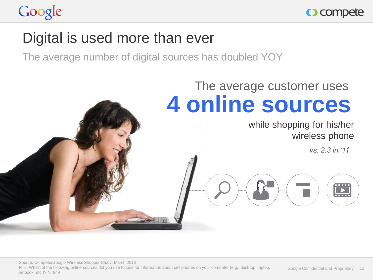

#### Digital is used more than ever

The average number of digital sources has doubled YOY

## **4 online sources** The average customer uses

#### while shopping for his/her wireless phone

*vs. 2.3 in '11*

 $\mathbf{r}$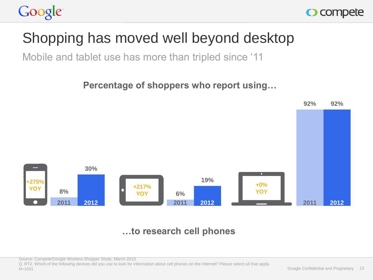



## Shopping has moved well beyond desktop

Mobile and tablet use has more than tripled since '11

**Percentage of shoppers who report using…**



#### **…to research cell phones**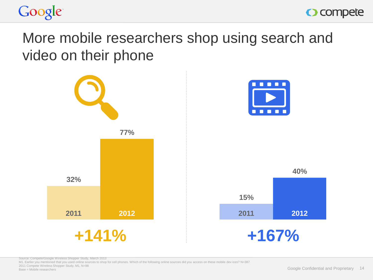



#### More mobile researchers shop using search and video on their phone



Source: Compete/Google Wireless Shopper Study, March 2013

M1. Earlier you mentioned that you used online sources to shop for cell phones. Which of the following online sources did you access on these mobile dev ices? N=387 2011 Compete Wireless Shopper Study, M1, N=98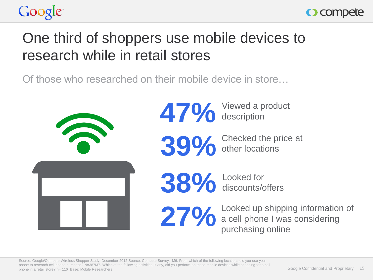



## One third of shoppers use mobile devices to research while in retail stores

Of those who researched on their mobile device in store…

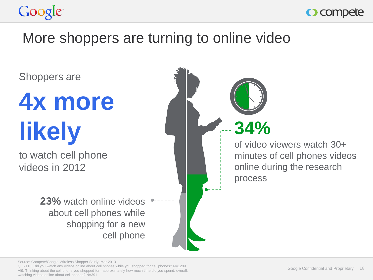



#### More shoppers are turning to online video

Shoppers are

# **4x more likely**

to watch cell phone videos in 2012

> **23%** watch online videos about cell phones while shopping for a new cell phone

of video viewers watch 30+ minutes of cell phones videos online during the research process **34%**

Source: Compete/Google Wireless Shopper Study, Mar 2013

Q. RT10. Did you watch any videos online about cell phones while you shopped for cell phones? N=1289 VI9. Thinking about the cell phone you shopped for , approximately how much time did you spend, overall, watching videos online about cell phones? N=391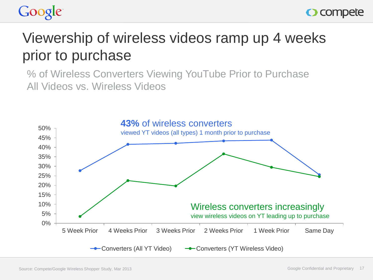



## Viewership of wireless videos ramp up 4 weeks prior to purchase

% of Wireless Converters Viewing YouTube Prior to Purchase All Videos vs. Wireless Videos

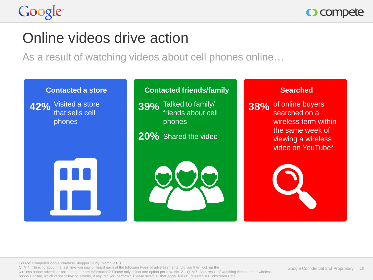

#### Online videos drive action

As a result of watching videos about cell phones online…

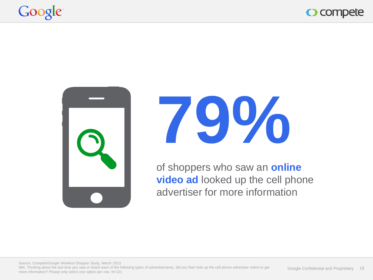







of shoppers who saw an **online video ad** looked up the cell phone advertiser for more information

Source: Compete/Google Wireless Shopper Study, March 2013 MI4. Thinking about the last time you saw or heard each of the following types of advertisements, did you then look up the cell phone advertiser online to get more information? Please only select one option per row. N=121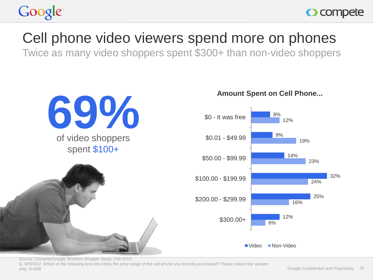

#### Cell phone video viewers spend more on phones

Twice as many video shoppers spent \$300+ than non-video shoppers



Source: Compete/Google Wireless Shopper Study, Feb 2013 Q. SPEND2. Which of the following best describes the price range of the cell phone you recently purchased? Please select one answer only. N=668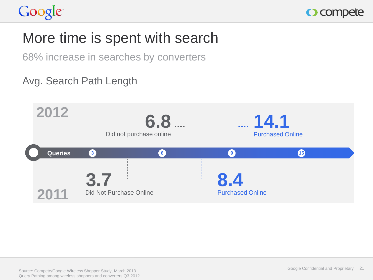

## More time is spent with search

68% increase in searches by converters

#### Avg. Search Path Length

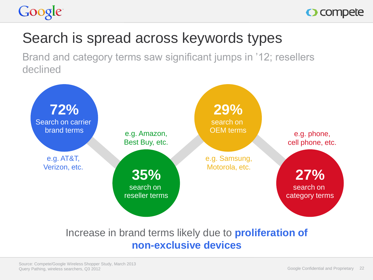



## Search is spread across keywords types

Brand and category terms saw significant jumps in '12; resellers declined



#### Increase in brand terms likely due to **proliferation of non-exclusive devices**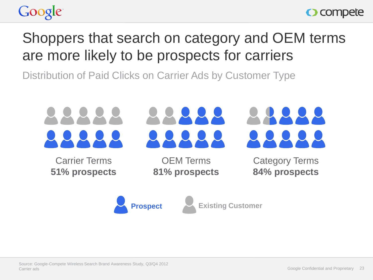



## Shoppers that search on category and OEM terms are more likely to be prospects for carriers

Distribution of Paid Clicks on Carrier Ads by Customer Type



Carrier Terms **51% prospects**

OEM Terms **81% prospects** Category Terms **84% prospects**



**Prospect Existing Customer**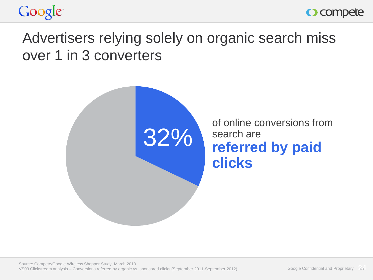



### Advertisers relying solely on organic search miss over 1 in 3 converters

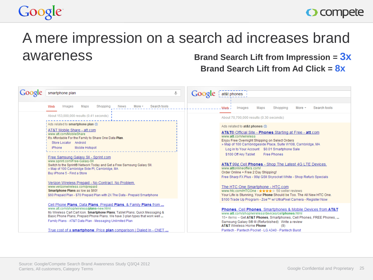## Google

#### O compete

#### A mere impression on a search ad increases brand awareness **Brand Search Lift from Impression = 3x**

**Brand Search Lift from Ad Click = 8x**

|                                                                                                                                                                                                                                                                                                                                          | smartphone plan                                                                                                                                                                                                                                                                                                                                                                                                                                 | Google | at&t phones                                                                                                                                                                                                                                                                                                                                                                                                                                                                                                                                                      |
|------------------------------------------------------------------------------------------------------------------------------------------------------------------------------------------------------------------------------------------------------------------------------------------------------------------------------------------|-------------------------------------------------------------------------------------------------------------------------------------------------------------------------------------------------------------------------------------------------------------------------------------------------------------------------------------------------------------------------------------------------------------------------------------------------|--------|------------------------------------------------------------------------------------------------------------------------------------------------------------------------------------------------------------------------------------------------------------------------------------------------------------------------------------------------------------------------------------------------------------------------------------------------------------------------------------------------------------------------------------------------------------------|
|                                                                                                                                                                                                                                                                                                                                          | More -<br>Search tools<br>Maps<br><b>News</b><br>Web<br>Images<br>Shopping                                                                                                                                                                                                                                                                                                                                                                      |        | ءُ Web.<br>Images<br>Maps<br>Search tools<br>Shopping<br>More $-$                                                                                                                                                                                                                                                                                                                                                                                                                                                                                                |
|                                                                                                                                                                                                                                                                                                                                          | About 153,000,000 results (0.41 seconds)                                                                                                                                                                                                                                                                                                                                                                                                        |        | About 70,700,000 results (0.30 seconds)                                                                                                                                                                                                                                                                                                                                                                                                                                                                                                                          |
|                                                                                                                                                                                                                                                                                                                                          | Ads related to smartphone plan (i)<br>AT&T Mobile Share - att.com<br>www.att.com/MobileShare<br>It's Affordable For the Family to Share One Data Plan.<br>Store Locator Android<br>Mobile Hotspot<br>iPhone<br>Free Samsung Galaxy SII - Sprint.com<br>www.sprint.com/Free-Galaxy-SII<br>Switch to the Sprint® Network Today and Get a Free Samsung Galaxy SII.<br>» Map of 100 Cambridge Side PI, Cambridge, MA<br>Buy iPhone 5 - Find a Store |        | Ads related to at&t phones (i)<br><b>AT&amp;T®</b> Official Site - <b>Phones</b> Starting at Free - <b>att</b> .com<br>www.aff.com/wireless<br>Enjoy Free Overnight Shipping on Select Orders<br>» Map of 100 Cambridgeside Place, Suite W108, Cambridge, MA<br>Log in to Your Account \$0.01 Smartphone Sale<br>\$100 Off Any Tablet<br><b>Free Phones</b><br>AT&T 99¢ Cell Phones - Shop The Latest 4G LTE Devices.<br>www.attonlineoffers.com/<br>Order Online + Free 2 Day Shipping!<br>Free Sharp FX Plus - 99¢ GSII Skyrocket White - Shop Refurb Specials |
|                                                                                                                                                                                                                                                                                                                                          | Verizon Wireless Prepaid - No Contract. No Problem.<br>www.verizonwireless.com/prepaid<br>Smartphone Plans as low as \$60!<br>\$60 Prepaid Plan - \$70 Prepaid Plan with 2X The Data - Prepaid Smartphone                                                                                                                                                                                                                                       |        | The HTC One Smartphone - HTC.com<br>www.htc.com/HTCOne - +++++ 50 seller reviews<br>Your Life is Stunning, Your Phone Should be Too. The All New HTC One.<br>\$100 Trade Up Program - Zoe™ w/ UltraPixel Camera - Register Now                                                                                                                                                                                                                                                                                                                                   |
| Cell Phone Plans, Data Plans, Prepaid Plans, & Family Plans from<br>www.att.com/shop/wireless/plans-new.html<br>My Wireless Cart Cart Icon. Smartphone Plans: Tablet Plans: Quick Messaging &<br>Basic Phone Plans; Prepaid Phone Plans. We have 3 plan types that work well<br>Family Plans - AT&T Data Plan - Messaging Unlimited Plan |                                                                                                                                                                                                                                                                                                                                                                                                                                                 |        | <b>Phones. Cell Phones. Smartphones &amp; Mobile Devices from AT&amp;T</b><br>www.att.com/shop/wireless/devices/cellphones.html<br>15+ items - Get AT&T Phones, Smartphones, Cell Phones, FREE Phones,<br>Samsung Galaxy S® III (Refurbished) Write a review<br><b>AT&amp;T</b> Wireless Home Phone<br>(9)                                                                                                                                                                                                                                                       |
|                                                                                                                                                                                                                                                                                                                                          | True cost of a smartphone: Price plan comparison   Dialed In - CNET                                                                                                                                                                                                                                                                                                                                                                             |        | Pantech - Pantech Pocket - LG A340 - Pantech Burst                                                                                                                                                                                                                                                                                                                                                                                                                                                                                                               |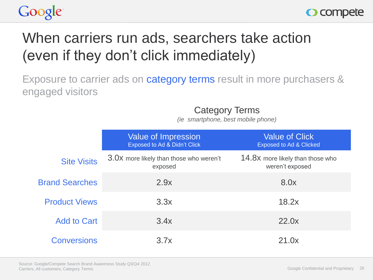



## When carriers run ads, searchers take action (even if they don't click immediately)

Exposure to carrier ads on category terms result in more purchasers & engaged visitors

Category Terms

*(ie smartphone, best mobile phone)*

|                       | <b>Value of Impression</b><br>Exposed to Ad & Didn't Click | <b>Value of Click</b><br><b>Exposed to Ad &amp; Clicked</b> |
|-----------------------|------------------------------------------------------------|-------------------------------------------------------------|
| <b>Site Visits</b>    | 3.0X more likely than those who weren't<br>exposed         | 14.8X more likely than those who<br>weren't exposed         |
| <b>Brand Searches</b> | 2.9x                                                       | 8.0x                                                        |
| <b>Product Views</b>  | 3.3x                                                       | 18.2x                                                       |
| <b>Add to Cart</b>    | 3.4x                                                       | 22.0x                                                       |
| <b>Conversions</b>    | 3.7x                                                       | 21.0x                                                       |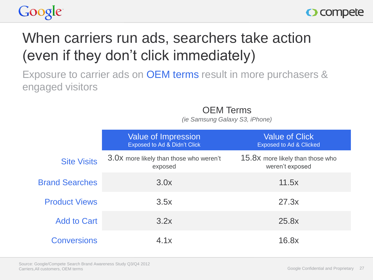



## When carriers run ads, searchers take action (even if they don't click immediately)

Exposure to carrier ads on OEM terms result in more purchasers & engaged visitors

OEM Terms

*(ie Samsung Galaxy S3, iPhone)*

|                       | <b>Value of Impression</b><br>Exposed to Ad & Didn't Click | <b>Value of Click</b><br><b>Exposed to Ad &amp; Clicked</b> |
|-----------------------|------------------------------------------------------------|-------------------------------------------------------------|
| <b>Site Visits</b>    | 3.0X more likely than those who weren't<br>exposed         | 15.8X more likely than those who<br>weren't exposed         |
| <b>Brand Searches</b> | 3.0x                                                       | 11.5x                                                       |
| <b>Product Views</b>  | 3.5x                                                       | 27.3x                                                       |
| <b>Add to Cart</b>    | 3.2x                                                       | 25.8x                                                       |
| <b>Conversions</b>    | 4.1x                                                       | 16.8x                                                       |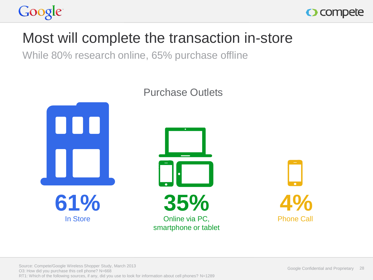



#### Most will complete the transaction in-store

While 80% research online, 65% purchase offline



#### Purchase Outlets

Source: Compete/Google Wireless Shopper Study, March 2013 O3: How did you purchase this cell phone? N=668 RT1: Which of the following sources, if any, did you use to look for information about cell phones? N=1289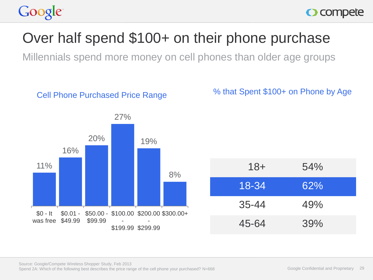## Over half spend \$100+ on their phone purchase

Millennials spend more money on cell phones than older age groups



% that Spent \$100+ on Phone by Age

| $18 +$    | 54% |
|-----------|-----|
| $18 - 34$ | 62% |
| $35 - 44$ | 49% |
| 45-64     | 39% |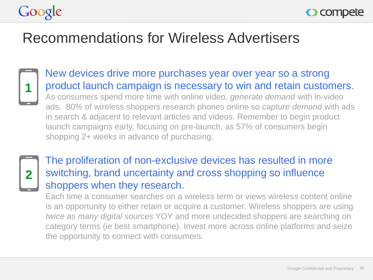



#### Recommendations for Wireless Advertisers



New devices drive more purchases year over year so a strong product launch campaign is necessary to win and retain customers. As consumers spend more time with online video, *generate demand* with in-video ads. 80% of wireless shoppers research phones online so *capture demand* with ads in search & adjacent to relevant articles and videos. Remember to begin product launch campaigns early, focusing on pre-launch, as 57% of consumers begin shopping 2+ weeks in advance of purchasing.



#### The proliferation of non-exclusive devices has resulted in more switching, brand uncertainty and cross shopping so influence shoppers when they research.

Each time a consumer searches on a wireless term or views wireless content online is an opportunity to either retain or acquire a customer. Wireless shoppers are using *twice as many digital sources* YOY and more undecided shoppers are searching on category terms (ie best smartphone). Invest more across online platforms and seize the opportunity to connect with consumers.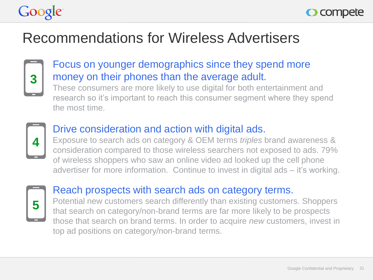

## Recommendations for Wireless Advertisers



#### Focus on younger demographics since they spend more money on their phones than the average adult.

These consumers are more likely to use digital for both entertainment and research so it's important to reach this consumer segment where they spend the most time.



#### Drive consideration and action with digital ads.

Exposure to search ads on category & OEM terms *triples* brand awareness & consideration compared to those wireless searchers not exposed to ads. 79% of wireless shoppers who saw an online video ad looked up the cell phone advertiser for more information. Continue to invest in digital ads – it's working.



#### Reach prospects with search ads on category terms.

Potential new customers search differently than existing customers. Shoppers that search on category/non-brand terms are far more likely to be prospects those that search on brand terms. In order to acquire *new* customers, invest in top ad positions on category/non-brand terms.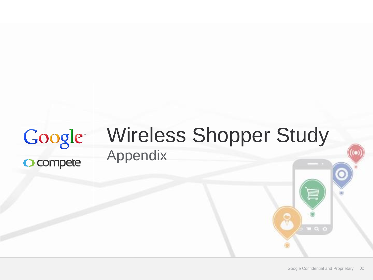## Google O compete

## Wireless Shopper Study Appendix

 $\blacksquare$  0, 0